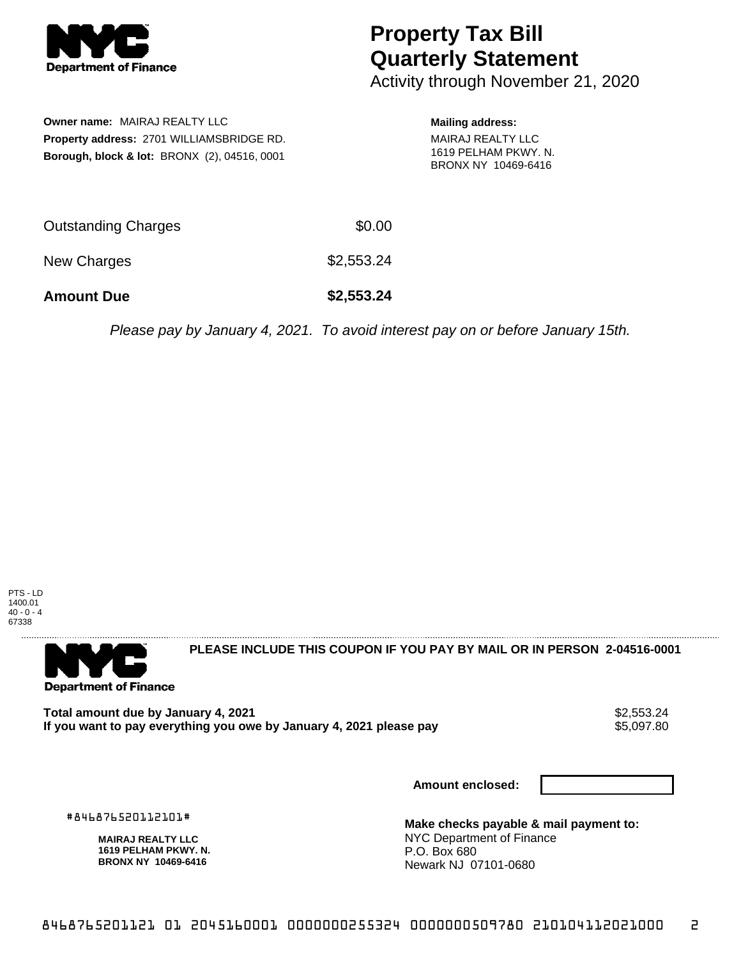

## **Property Tax Bill Quarterly Statement**

Activity through November 21, 2020

**Owner name:** MAIRAJ REALTY LLC **Property address:** 2701 WILLIAMSBRIDGE RD. **Borough, block & lot:** BRONX (2), 04516, 0001

## **Mailing address:**

MAIRAJ REALTY LLC 1619 PELHAM PKWY. N. BRONX NY 10469-6416

| <b>Amount Due</b>          | \$2,553.24 |
|----------------------------|------------|
| New Charges                | \$2,553.24 |
| <b>Outstanding Charges</b> | \$0.00     |

Please pay by January 4, 2021. To avoid interest pay on or before January 15th.

PTS - LD 1400.01  $40 - 0 - 4$ 67338



**PLEASE INCLUDE THIS COUPON IF YOU PAY BY MAIL OR IN PERSON 2-04516-0001** 

**Total amount due by January 4, 2021**<br>If you want to pay everything you owe by January 4, 2021 please pay **show that the summan want of the s**5,097.80 If you want to pay everything you owe by January 4, 2021 please pay

**Amount enclosed:**

#846876520112101#

**MAIRAJ REALTY LLC 1619 PELHAM PKWY. N. BRONX NY 10469-6416**

**Make checks payable & mail payment to:** NYC Department of Finance P.O. Box 680 Newark NJ 07101-0680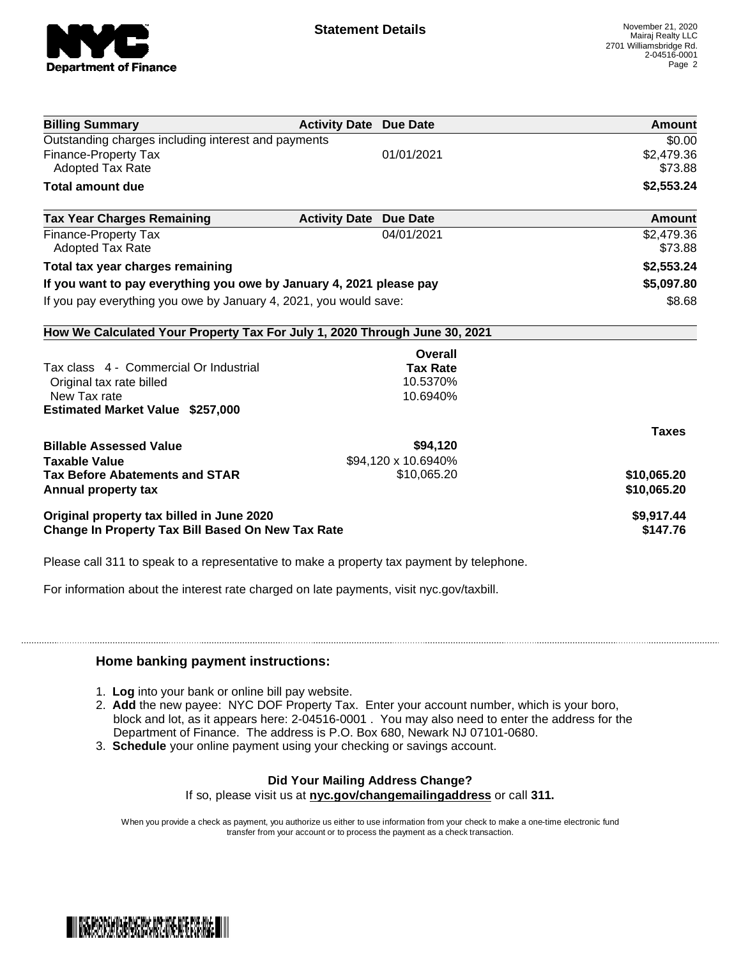

| <b>Billing Summary</b>                                                     | <b>Activity Date Due Date</b> |                     | <b>Amount</b> |
|----------------------------------------------------------------------------|-------------------------------|---------------------|---------------|
| Outstanding charges including interest and payments                        |                               |                     | \$0.00        |
| Finance-Property Tax                                                       |                               | 01/01/2021          | \$2,479.36    |
| <b>Adopted Tax Rate</b>                                                    |                               |                     | \$73.88       |
| <b>Total amount due</b>                                                    |                               |                     | \$2,553.24    |
| <b>Tax Year Charges Remaining</b>                                          | <b>Activity Date</b>          | <b>Due Date</b>     | Amount        |
| <b>Finance-Property Tax</b>                                                |                               | 04/01/2021          | \$2,479.36    |
| <b>Adopted Tax Rate</b>                                                    |                               |                     | \$73.88       |
| Total tax year charges remaining                                           |                               |                     | \$2,553.24    |
| If you want to pay everything you owe by January 4, 2021 please pay        |                               |                     | \$5,097.80    |
| If you pay everything you owe by January 4, 2021, you would save:          |                               | \$8.68              |               |
| How We Calculated Your Property Tax For July 1, 2020 Through June 30, 2021 |                               |                     |               |
|                                                                            |                               | Overall             |               |
| Tax class 4 - Commercial Or Industrial                                     |                               | <b>Tax Rate</b>     |               |
| Original tax rate billed                                                   |                               | 10.5370%            |               |
| New Tax rate                                                               |                               | 10.6940%            |               |
| <b>Estimated Market Value \$257,000</b>                                    |                               |                     |               |
|                                                                            |                               |                     | <b>Taxes</b>  |
| <b>Billable Assessed Value</b>                                             |                               | \$94,120            |               |
| <b>Taxable Value</b>                                                       |                               | \$94,120 x 10.6940% |               |
| <b>Tax Before Abatements and STAR</b>                                      |                               | \$10,065.20         | \$10,065.20   |
| Annual property tax                                                        |                               |                     | \$10,065.20   |
| Original property tax billed in June 2020                                  |                               |                     | \$9,917.44    |
| <b>Change In Property Tax Bill Based On New Tax Rate</b>                   |                               |                     | \$147.76      |

Please call 311 to speak to a representative to make a property tax payment by telephone.

For information about the interest rate charged on late payments, visit nyc.gov/taxbill.

## **Home banking payment instructions:**

- 1. **Log** into your bank or online bill pay website.
- 2. **Add** the new payee: NYC DOF Property Tax. Enter your account number, which is your boro, block and lot, as it appears here: 2-04516-0001 . You may also need to enter the address for the Department of Finance. The address is P.O. Box 680, Newark NJ 07101-0680.
- 3. **Schedule** your online payment using your checking or savings account.

## **Did Your Mailing Address Change?**

If so, please visit us at **nyc.gov/changemailingaddress** or call **311.**

When you provide a check as payment, you authorize us either to use information from your check to make a one-time electronic fund transfer from your account or to process the payment as a check transaction.